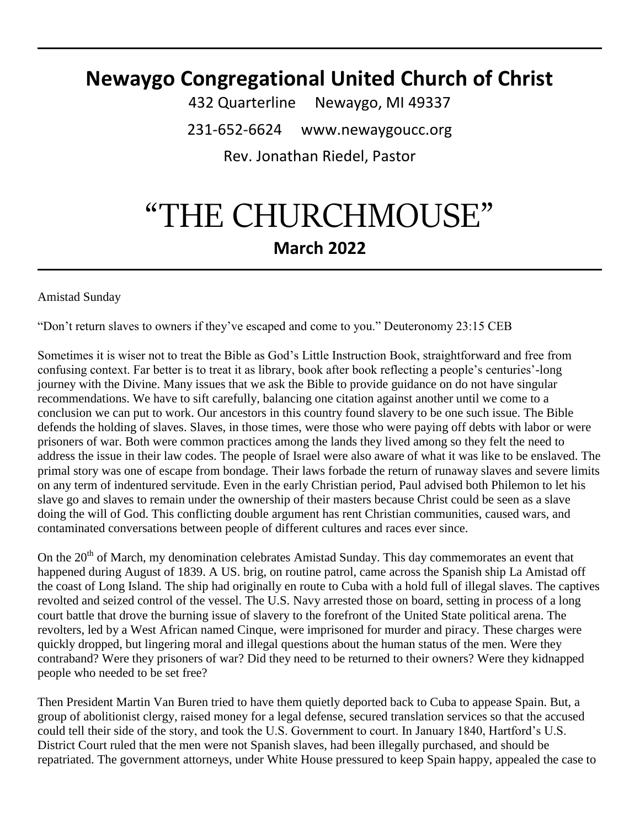### **Newaygo Congregational United Church of Christ**

432 Quarterline Newaygo, MI 49337 231-652-6624 www.newaygoucc.org Rev. Jonathan Riedel, Pastor

# "THE CHURCHMOUSE" **March 2022**

Amistad Sunday

"Don't return slaves to owners if they've escaped and come to you." Deuteronomy 23:15 CEB

Sometimes it is wiser not to treat the Bible as God's Little Instruction Book, straightforward and free from confusing context. Far better is to treat it as library, book after book reflecting a people's centuries'-long journey with the Divine. Many issues that we ask the Bible to provide guidance on do not have singular recommendations. We have to sift carefully, balancing one citation against another until we come to a conclusion we can put to work. Our ancestors in this country found slavery to be one such issue. The Bible defends the holding of slaves. Slaves, in those times, were those who were paying off debts with labor or were prisoners of war. Both were common practices among the lands they lived among so they felt the need to address the issue in their law codes. The people of Israel were also aware of what it was like to be enslaved. The primal story was one of escape from bondage. Their laws forbade the return of runaway slaves and severe limits on any term of indentured servitude. Even in the early Christian period, Paul advised both Philemon to let his slave go and slaves to remain under the ownership of their masters because Christ could be seen as a slave doing the will of God. This conflicting double argument has rent Christian communities, caused wars, and contaminated conversations between people of different cultures and races ever since.

On the 20<sup>th</sup> of March, my denomination celebrates Amistad Sunday. This day commemorates an event that happened during August of 1839. A US. brig, on routine patrol, came across the Spanish ship La Amistad off the coast of Long Island. The ship had originally en route to Cuba with a hold full of illegal slaves. The captives revolted and seized control of the vessel. The U.S. Navy arrested those on board, setting in process of a long court battle that drove the burning issue of slavery to the forefront of the United State political arena. The revolters, led by a West African named Cinque, were imprisoned for murder and piracy. These charges were quickly dropped, but lingering moral and illegal questions about the human status of the men. Were they contraband? Were they prisoners of war? Did they need to be returned to their owners? Were they kidnapped people who needed to be set free?

Then President Martin Van Buren tried to have them quietly deported back to Cuba to appease Spain. But, a group of abolitionist clergy, raised money for a legal defense, secured translation services so that the accused could tell their side of the story, and took the U.S. Government to court. In January 1840, Hartford's U.S. District Court ruled that the men were not Spanish slaves, had been illegally purchased, and should be repatriated. The government attorneys, under White House pressured to keep Spain happy, appealed the case to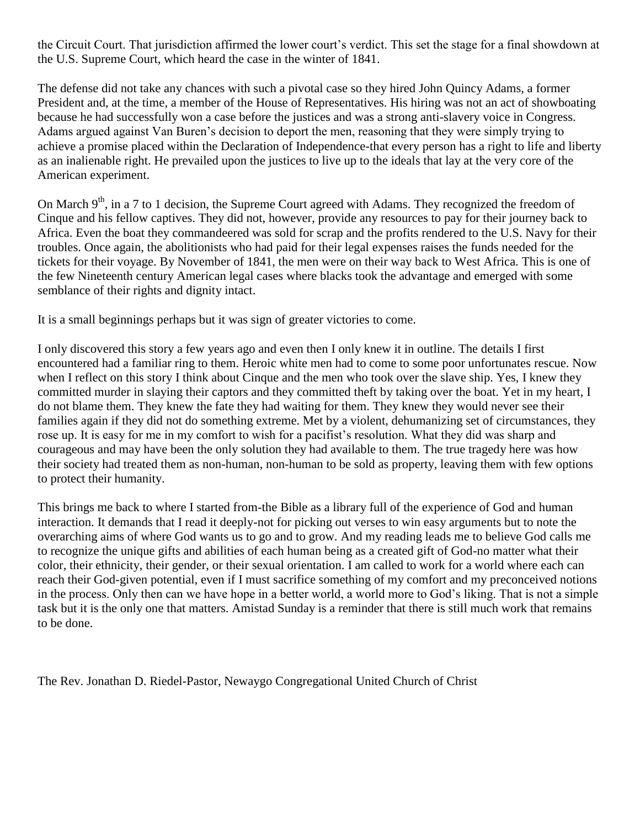the Circuit Court. That jurisdiction affirmed the lower court's verdict. This set the stage for a final showdown at the U.S. Supreme Court, which heard the case in the winter of 1841.

The defense did not take any chances with such a pivotal case so they hired John Quincy Adams, a former President and, at the time, a member of the House of Representatives. His hiring was not an act of showboating because he had successfully won a case before the justices and was a strong anti-slavery voice in Congress. Adams argued against Van Buren's decision to deport the men, reasoning that they were simply trying to achieve a promise placed within the Declaration of Independence-that every person has a right to life and liberty as an inalienable right. He prevailed upon the justices to live up to the ideals that lay at the very core of the American experiment.

On March  $9<sup>th</sup>$ , in a 7 to 1 decision, the Supreme Court agreed with Adams. They recognized the freedom of Cinque and his fellow captives. They did not, however, provide any resources to pay for their journey back to Africa. Even the boat they commandeered was sold for scrap and the profits rendered to the U.S. Navy for their troubles. Once again, the abolitionists who had paid for their legal expenses raises the funds needed for the tickets for their voyage. By November of 1841, the men were on their way back to West Africa. This is one of the few Nineteenth century American legal cases where blacks took the advantage and emerged with some semblance of their rights and dignity intact.

It is a small beginnings perhaps but it was sign of greater victories to come.

I only discovered this story a few years ago and even then I only knew it in outline. The details I first encountered had a familiar ring to them. Heroic white men had to come to some poor unfortunates rescue. Now when I reflect on this story I think about Cinque and the men who took over the slave ship. Yes, I knew they committed murder in slaying their captors and they committed theft by taking over the boat. Yet in my heart, I do not blame them. They knew the fate they had waiting for them. They knew they would never see their families again if they did not do something extreme. Met by a violent, dehumanizing set of circumstances, they rose up. It is easy for me in my comfort to wish for a pacifist's resolution. What they did was sharp and courageous and may have been the only solution they had available to them. The true tragedy here was how their society had treated them as non-human, non-human to be sold as property, leaving them with few options to protect their humanity.

This brings me back to where I started from-the Bible as a library full of the experience of God and human interaction. It demands that I read it deeply-not for picking out verses to win easy arguments but to note the overarching aims of where God wants us to go and to grow. And my reading leads me to believe God calls me to recognize the unique gifts and abilities of each human being as a created gift of God-no matter what their color, their ethnicity, their gender, or their sexual orientation. I am called to work for a world where each can reach their God-given potential, even if I must sacrifice something of my comfort and my preconceived notions in the process. Only then can we have hope in a better world, a world more to God's liking. That is not a simple task but it is the only one that matters. Amistad Sunday is a reminder that there is still much work that remains to be done.

The Rev. Jonathan D. Riedel-Pastor, Newaygo Congregational United Church of Christ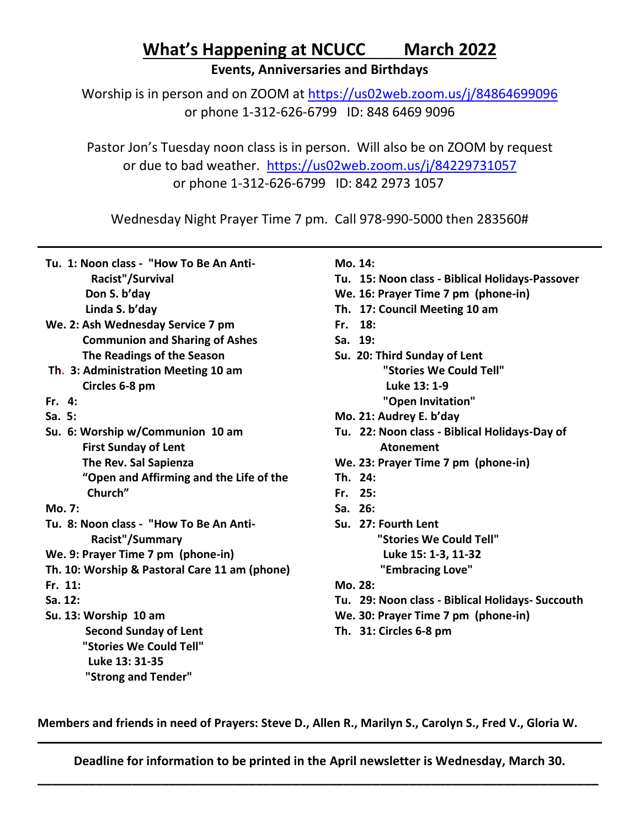## **What's Happening at NCUCC March 2022**

**Events, Anniversaries and Birthdays**

Worship is in person and on ZOOM at<https://us02web.zoom.us/j/84864699096> or phone 1-312-626-6799 ID: 848 6469 9096

Pastor Jon's Tuesday noon class is in person. Will also be on ZOOM by request or due to bad weather. <https://us02web.zoom.us/j/84229731057> or phone 1-312-626-6799 ID: 842 2973 1057

Wednesday Night Prayer Time 7 pm. Call 978-990-5000 then 283560#

|  | Tu. 1: Noon class - "How To Be An Anti- |
|--|-----------------------------------------|
|--|-----------------------------------------|

 **Racist"/Survival Don S. b'day**

 **Linda S. b'day**

- **We. 2: Ash Wednesday Service 7 pm Communion and Sharing of Ashes The Readings of the Season**
- **Th. 3: Administration Meeting 10 am Circles 6-8 pm**
- **Fr. 4:**
- **Sa. 5:**
- **Su. 6: Worship w/Communion 10 am First Sunday of Lent The Rev. Sal Sapienza "Open and Affirming and the Life of the Church"**
- **Mo. 7:**
- **Tu. 8: Noon class "How To Be An Anti- Racist"/Summary**
- **We. 9: Prayer Time 7 pm (phone-in)**
- **Th. 10: Worship & Pastoral Care 11 am (phone)**
- **Fr. 11:**
- **Sa. 12:**
- **Su. 13: Worship 10 am Second Sunday of Lent "Stories We Could Tell" Luke 13: 31-35**

#### **"Strong and Tender"**

#### **Mo. 14:**

- **Tu. 15: Noon class - Biblical Holidays-Passover**
- **We. 16: Prayer Time 7 pm (phone-in)**
- **Th. 17: Council Meeting 10 am**
- **Fr. 18:**
- **Sa. 19:**
- **Su. 20: Third Sunday of Lent "Stories We Could Tell" Luke 13: 1-9**
	- **"Open Invitation"**
- **Mo. 21: Audrey E. b'day**
- **Tu. 22: Noon class - Biblical Holidays-Day of Atonement**
- **We. 23: Prayer Time 7 pm (phone-in)**
- **Th. 24:**
- **Fr. 25:**
- **Sa. 26:**
- **Su. 27: Fourth Lent**
	- **"Stories We Could Tell"**
	- **Luke 15: 1-3, 11-32**

**"Embracing Love"**

- **Mo. 28:**
- **Tu. 29: Noon class - Biblical Holidays- Succouth**
- **We. 30: Prayer Time 7 pm (phone-in)**
- **Th. 31: Circles 6-8 pm**

**Members and friends in need of Prayers: Steve D., Allen R., Marilyn S., Carolyn S., Fred V., Gloria W.**

**Deadline for information to be printed in the April newsletter is Wednesday, March 30. \_\_\_\_\_\_\_\_\_\_\_\_\_\_\_\_\_\_\_\_\_\_\_\_\_\_\_\_\_\_\_\_\_\_\_\_\_\_\_\_\_\_\_\_\_\_\_\_\_\_\_\_\_\_\_\_\_\_\_\_\_\_\_\_\_\_\_\_\_\_\_\_\_\_\_\_\_**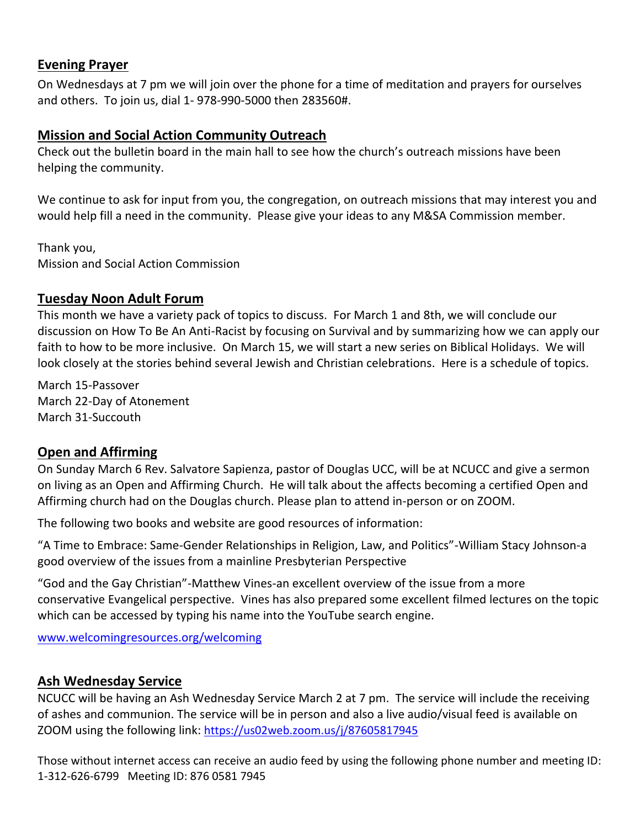#### **Evening Prayer**

On Wednesdays at 7 pm we will join over the phone for a time of meditation and prayers for ourselves and others. To join us, dial 1- 978-990-5000 then 283560#.

#### **Mission and Social Action Community Outreach**

Check out the bulletin board in the main hall to see how the church's outreach missions have been helping the community.

We continue to ask for input from you, the congregation, on outreach missions that may interest you and would help fill a need in the community. Please give your ideas to any M&SA Commission member.

Thank you, Mission and Social Action Commission

#### **Tuesday Noon Adult Forum**

This month we have a variety pack of topics to discuss. For March 1 and 8th, we will conclude our discussion on How To Be An Anti-Racist by focusing on Survival and by summarizing how we can apply our faith to how to be more inclusive. On March 15, we will start a new series on Biblical Holidays. We will look closely at the stories behind several Jewish and Christian celebrations. Here is a schedule of topics.

March 15-Passover March 22-Day of Atonement March 31-Succouth

#### **Open and Affirming**

On Sunday March 6 Rev. Salvatore Sapienza, pastor of Douglas UCC, will be at NCUCC and give a sermon on living as an Open and Affirming Church. He will talk about the affects becoming a certified Open and Affirming church had on the Douglas church. Please plan to attend in-person or on ZOOM.

The following two books and website are good resources of information:

"A Time to Embrace: Same-Gender Relationships in Religion, Law, and Politics"-William Stacy Johnson-a good overview of the issues from a mainline Presbyterian Perspective

"God and the Gay Christian"-Matthew Vines-an excellent overview of the issue from a more conservative Evangelical perspective. Vines has also prepared some excellent filmed lectures on the topic which can be accessed by typing his name into the YouTube search engine.

[www.welcomingresources.org/welcoming](file:///C:/Users/Owner/Documents/CHURCH%202/003%20NEWSLETTER/Weekly/2022/January%202022/www.welcomingresources.org/welcoming)

#### **Ash Wednesday Service**

NCUCC will be having an Ash Wednesday Service March 2 at 7 pm. The service will include the receiving of ashes and communion. The service will be in person and also a live audio/visual feed is available on ZOOM using the following link: <https://us02web.zoom.us/j/87605817945>

Those without internet access can receive an audio feed by using the following phone number and meeting ID: 1-312-626-6799 Meeting ID: 876 0581 7945